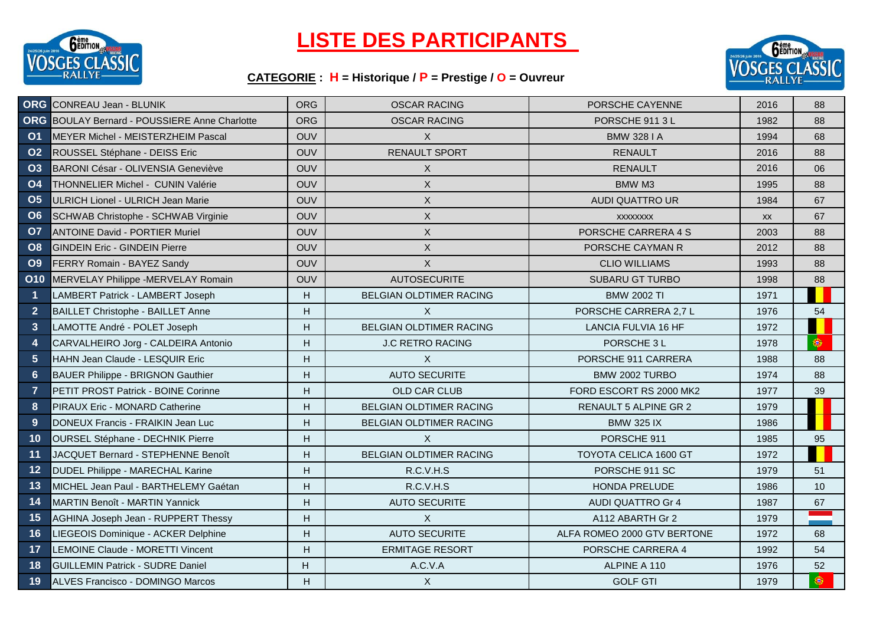

## **LISTE DES PARTICIPANTS**

## **CATEGORIE : H = Historique / P = Prestige / O = Ouvreur**



|                      | <b>ORG</b> CONREAU Jean - BLUNIK                     | <b>ORG</b> | <b>OSCAR RACING</b>            | PORSCHE CAYENNE              | 2016 | 88 |
|----------------------|------------------------------------------------------|------------|--------------------------------|------------------------------|------|----|
|                      | <b>ORG</b> BOULAY Bernard - POUSSIERE Anne Charlotte | <b>ORG</b> | <b>OSCAR RACING</b>            | PORSCHE 911 3 L              | 1982 | 88 |
| O <sub>1</sub>       | MEYER Michel - MEISTERZHEIM Pascal                   | <b>OUV</b> | X                              | <b>BMW 328 I A</b>           | 1994 | 68 |
| <b>O2</b>            | ROUSSEL Stéphane - DEISS Eric                        | OUV        | <b>RENAULT SPORT</b>           | <b>RENAULT</b>               | 2016 | 88 |
| <b>O3</b>            | BARONI César - OLIVENSIA Geneviève                   | <b>OUV</b> | X                              | <b>RENAULT</b>               | 2016 | 06 |
| <b>O4</b>            | THONNELIER Michel - CUNIN Valérie                    | <b>OUV</b> | X                              | <b>BMW M3</b>                | 1995 | 88 |
| O <sub>5</sub>       | ULRICH Lionel - ULRICH Jean Marie                    | <b>OUV</b> | X                              | <b>AUDI QUATTRO UR</b>       | 1984 | 67 |
| <b>O6</b>            | SCHWAB Christophe - SCHWAB Virginie                  | <b>OUV</b> | X                              | <b>XXXXXXXX</b>              | XX   | 67 |
| <b>O7</b>            | <b>ANTOINE David - PORTIER Muriel</b>                | <b>OUV</b> | X                              | PORSCHE CARRERA 4 S          | 2003 | 88 |
| O8                   | <b>IGINDEIN Eric - GINDEIN Pierre</b>                | <b>OUV</b> | X                              | PORSCHE CAYMAN R             | 2012 | 88 |
| <b>O9</b>            | FERRY Romain - BAYEZ Sandy                           | <b>OUV</b> | X                              | <b>CLIO WILLIAMS</b>         | 1993 | 88 |
| <b>O10</b>           | MERVELAY Philippe -MERVELAY Romain                   | <b>OUV</b> | <b>AUTOSECURITE</b>            | <b>SUBARU GT TURBO</b>       | 1998 | 88 |
| $\blacktriangleleft$ | LAMBERT Patrick - LAMBERT Joseph                     | Н.         | <b>BELGIAN OLDTIMER RACING</b> | <b>BMW 2002 TI</b>           | 1971 |    |
| $\overline{2}$       | <b>BAILLET Christophe - BAILLET Anne</b>             | Н.         | $\times$                       | PORSCHE CARRERA 2,7 L        | 1976 | 54 |
| $\mathbf{3}$         | LAMOTTE André - POLET Joseph                         | H          | BELGIAN OLDTIMER RACING        | LANCIA FULVIA 16 HF          | 1972 |    |
| $\overline{4}$       | CARVALHEIRO Jorg - CALDEIRA Antonio                  | Н.         | <b>J.C RETRO RACING</b>        | PORSCHE 3 L                  | 1978 | ۱  |
| $5\phantom{.}$       | HAHN Jean Claude - LESQUIR Eric                      | H.         | $\times$                       | PORSCHE 911 CARRERA          | 1988 | 88 |
| 6                    | <b>BAUER Philippe - BRIGNON Gauthier</b>             | H.         | <b>AUTO SECURITE</b>           | BMW 2002 TURBO               | 1974 | 88 |
| $\overline{7}$       | PETIT PROST Patrick - BOINE Corinne                  | Н.         | OLD CAR CLUB                   | FORD ESCORT RS 2000 MK2      | 1977 | 39 |
| 8                    | PIRAUX Eric - MONARD Catherine                       | H.         | BELGIAN OLDTIMER RACING        | RENAULT 5 ALPINE GR 2        | 1979 |    |
| 9                    | DONEUX Francis - FRAIKIN Jean Luc                    | H.         | BELGIAN OLDTIMER RACING        | <b>BMW 325 IX</b>            | 1986 |    |
| 10                   | OURSEL Stéphane - DECHNIK Pierre                     | H          | X                              | PORSCHE 911                  | 1985 | 95 |
| 11                   | JACQUET Bernard - STEPHENNE Benoît                   | H.         | <b>BELGIAN OLDTIMER RACING</b> | <b>TOYOTA CELICA 1600 GT</b> | 1972 |    |
| 12                   | DUDEL Philippe - MARECHAL Karine                     | Н.         | R.C.V.H.S                      | PORSCHE 911 SC               | 1979 | 51 |
| 13                   | MICHEL Jean Paul - BARTHELEMY Gaétan                 | H.         | R.C.V.H.S                      | HONDA PRELUDE                | 1986 | 10 |
| 14                   | <b>MARTIN Benoît - MARTIN Yannick</b>                | H.         | <b>AUTO SECURITE</b>           | <b>AUDI QUATTRO Gr 4</b>     | 1987 | 67 |
| 15                   | <b>AGHINA Joseph Jean - RUPPERT Thessy</b>           | H.         | X                              | A112 ABARTH Gr 2             | 1979 |    |
| 16                   | LIEGEOIS Dominique - ACKER Delphine                  | H.         | <b>AUTO SECURITE</b>           | ALFA ROMEO 2000 GTV BERTONE  | 1972 | 68 |
| 17                   | LEMOINE Claude - MORETTI Vincent                     | Н.         | <b>ERMITAGE RESORT</b>         | PORSCHE CARRERA 4            | 1992 | 54 |
| 18                   | <b>GUILLEMIN Patrick - SUDRE Daniel</b>              | H          | A.C.V.A                        | ALPINE A 110                 | 1976 | 52 |
| 19                   | <b>ALVES Francisco - DOMINGO Marcos</b>              | Н.         | $\mathsf{X}$                   | <b>GOLF GTI</b>              | 1979 | ۱  |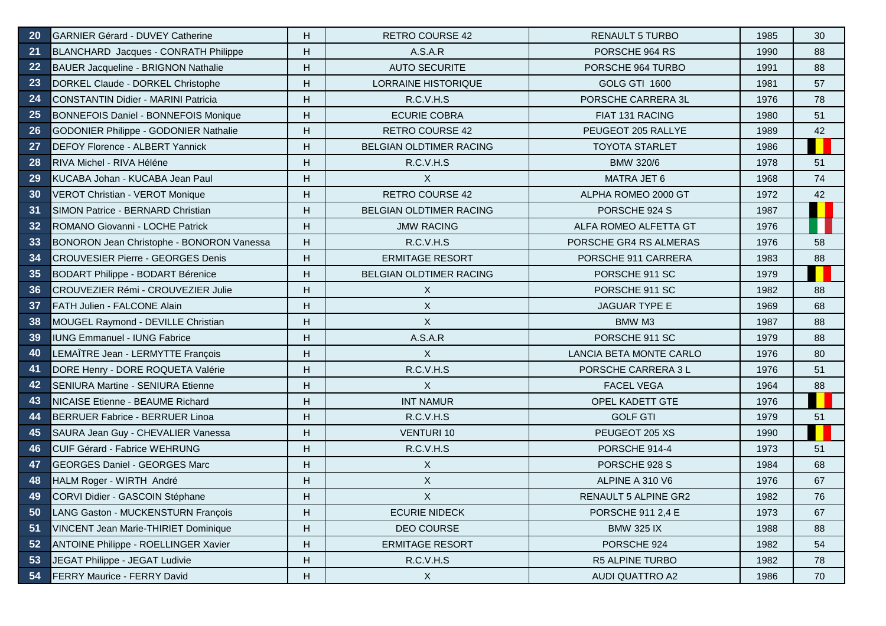| 20 | <b>GARNIER Gérard - DUVEY Catherine</b>      | H. | <b>RETRO COURSE 42</b>     | <b>RENAULT 5 TURBO</b>  | 1985 | 30 |
|----|----------------------------------------------|----|----------------------------|-------------------------|------|----|
| 21 | BLANCHARD Jacques - CONRATH Philippe         | H. | A.S.A.R                    | PORSCHE 964 RS          | 1990 | 88 |
| 22 | <b>BAUER Jacqueline - BRIGNON Nathalie</b>   | H. | <b>AUTO SECURITE</b>       | PORSCHE 964 TURBO       | 1991 | 88 |
| 23 | DORKEL Claude - DORKEL Christophe            | H. | <b>LORRAINE HISTORIQUE</b> | GOLG GTI 1600           | 1981 | 57 |
| 24 | <b>CONSTANTIN Didier - MARINI Patricia</b>   | Н. | R.C.V.H.S                  | PORSCHE CARRERA 3L      | 1976 | 78 |
| 25 | <b>BONNEFOIS Daniel - BONNEFOIS Monique</b>  | H. | <b>ECURIE COBRA</b>        | FIAT 131 RACING         | 1980 | 51 |
| 26 | <b>GODONIER Philippe - GODONIER Nathalie</b> | H. | <b>RETRO COURSE 42</b>     | PEUGEOT 205 RALLYE      | 1989 | 42 |
| 27 | DEFOY Florence - ALBERT Yannick              | H. | BELGIAN OLDTIMER RACING    | <b>TOYOTA STARLET</b>   | 1986 |    |
| 28 | RIVA Michel - RIVA Héléne                    | Н. | R.C.V.H.S                  | <b>BMW 320/6</b>        | 1978 | 51 |
| 29 | KUCABA Johan - KUCABA Jean Paul              | H. | $\mathsf{X}$               | <b>MATRA JET 6</b>      | 1968 | 74 |
| 30 | VEROT Christian - VEROT Monique              | Н. | <b>RETRO COURSE 42</b>     | ALPHA ROMEO 2000 GT     | 1972 | 42 |
| 31 | SIMON Patrice - BERNARD Christian            | H. | BELGIAN OLDTIMER RACING    | PORSCHE 924 S           | 1987 |    |
| 32 | ROMANO Giovanni - LOCHE Patrick              | H. | <b>JMW RACING</b>          | ALFA ROMEO ALFETTA GT   | 1976 |    |
| 33 | BONORON Jean Christophe - BONORON Vanessa    | H. | R.C.V.H.S                  | PORSCHE GR4 RS ALMERAS  | 1976 | 58 |
| 34 | <b>CROUVESIER Pierre - GEORGES Denis</b>     | H. | <b>ERMITAGE RESORT</b>     | PORSCHE 911 CARRERA     | 1983 | 88 |
| 35 | <b>BODART Philippe - BODART Bérenice</b>     | H. | BELGIAN OLDTIMER RACING    | PORSCHE 911 SC          | 1979 |    |
| 36 | CROUVEZIER Rémi - CROUVEZIER Julie           | H. | X                          | PORSCHE 911 SC          | 1982 | 88 |
| 37 | FATH Julien - FALCONE Alain                  | Н. | $\mathsf{X}$               | <b>JAGUAR TYPE E</b>    | 1969 | 68 |
| 38 | MOUGEL Raymond - DEVILLE Christian           | Н. | $\sf X$                    | BMW M3                  | 1987 | 88 |
| 39 | <b>IUNG Emmanuel - IUNG Fabrice</b>          | H. | A.S.A.R                    | PORSCHE 911 SC          | 1979 | 88 |
| 40 | LEMAÎTRE Jean - LERMYTTE François            | H. | $\mathsf{X}$               | LANCIA BETA MONTE CARLO | 1976 | 80 |
| 41 | DORE Henry - DORE ROQUETA Valérie            | Н. | R.C.V.H.S                  | PORSCHE CARRERA 3 L     | 1976 | 51 |
| 42 | <b>SENIURA Martine - SENIURA Etienne</b>     | H. | $\mathsf{X}$               | <b>FACEL VEGA</b>       | 1964 | 88 |
| 43 | <b>NICAISE Etienne - BEAUME Richard</b>      | H  | <b>INT NAMUR</b>           | OPEL KADETT GTE         | 1976 |    |
| 44 | BERRUER Fabrice - BERRUER Linoa              | H. | R.C.V.H.S                  | <b>GOLF GTI</b>         | 1979 | 51 |
| 45 | SAURA Jean Guy - CHEVALIER Vanessa           | H. | <b>VENTURI 10</b>          | PEUGEOT 205 XS          | 1990 |    |
| 46 | <b>CUIF Gérard - Fabrice WEHRUNG</b>         | H. | R.C.V.H.S                  | PORSCHE 914-4           | 1973 | 51 |
| 47 | <b>GEORGES Daniel - GEORGES Marc</b>         | Н. | X                          | PORSCHE 928 S           | 1984 | 68 |
| 48 | HALM Roger - WIRTH André                     | Н. | X                          | ALPINE A 310 V6         | 1976 | 67 |
| 49 | CORVI Didier - GASCOIN Stéphane              | H. | $\times$                   | RENAULT 5 ALPINE GR2    | 1982 | 76 |
| 50 | LANG Gaston - MUCKENSTURN François           | Н. | <b>ECURIE NIDECK</b>       | PORSCHE 911 2,4 E       | 1973 | 67 |
| 51 | VINCENT Jean Marie-THIRIET Dominique         | Н. | DEO COURSE                 | <b>BMW 325 IX</b>       | 1988 | 88 |
| 52 | ANTOINE Philippe - ROELLINGER Xavier         | Н. | <b>ERMITAGE RESORT</b>     | PORSCHE 924             | 1982 | 54 |
| 53 | JEGAT Philippe - JEGAT Ludivie               | Н. | R.C.V.H.S                  | R5 ALPINE TURBO         | 1982 | 78 |
| 54 | FERRY Maurice - FERRY David                  | Н. | $\mathsf{X}$               | AUDI QUATTRO A2         | 1986 | 70 |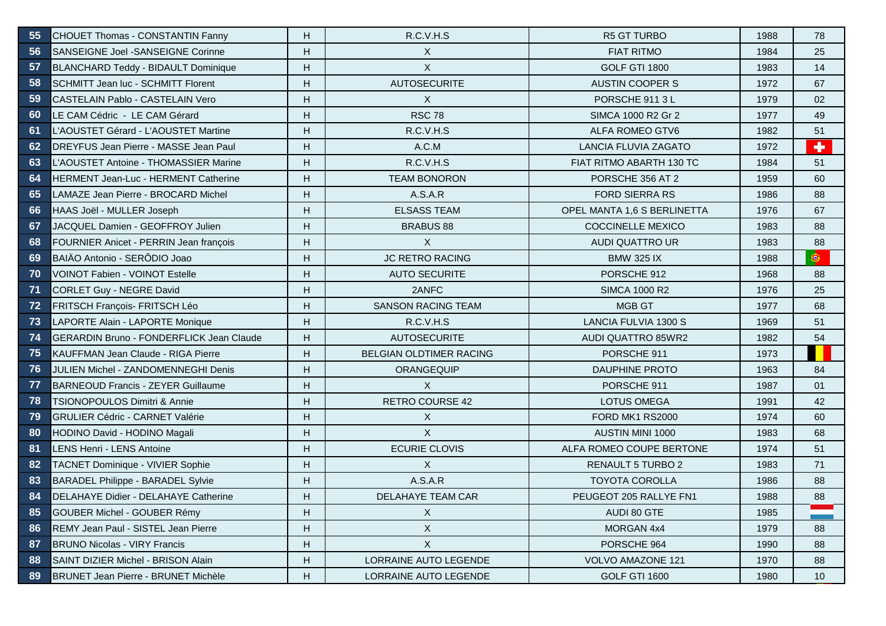| 55   | <b>CHOUET Thomas - CONSTANTIN Fanny</b>         | H. | R.C.V.H.S                 | <b>R5 GT TURBO</b>          | 1988 | 78                   |
|------|-------------------------------------------------|----|---------------------------|-----------------------------|------|----------------------|
| 56   | SANSEIGNE Joel -SANSEIGNE Corinne               | H  | X                         | <b>FIAT RITMO</b>           | 1984 | 25                   |
| 57   | BLANCHARD Teddy - BIDAULT Dominique             | H  | X                         | <b>GOLF GTI 1800</b>        | 1983 | 14                   |
| 58   | SCHMITT Jean luc - SCHMITT Florent              | H  | <b>AUTOSECURITE</b>       | <b>AUSTIN COOPER S</b>      | 1972 | 67                   |
| 59   | CASTELAIN Pablo - CASTELAIN Vero                | H  | X                         | PORSCHE 911 3 L             | 1979 | 02                   |
| 60   | LE CAM Cédric - LE CAM Gérard                   | H  | <b>RSC 78</b>             | SIMCA 1000 R2 Gr 2          | 1977 | 49                   |
| 61   | L'AOUSTET Gérard - L'AOUSTET Martine            | H  | R.C.V.H.S                 | ALFA ROMEO GTV6             | 1982 | 51                   |
| 62   | DREYFUS Jean Pierre - MASSE Jean Paul           | H  | A.C.M                     | <b>LANCIA FLUVIA ZAGATO</b> | 1972 | $\ddot{\phantom{1}}$ |
| 63   | L'AOUSTET Antoine - THOMASSIER Marine           | H. | R.C.V.H.S                 | FIAT RITMO ABARTH 130 TC    | 1984 | 51                   |
| 64   | HERMENT Jean-Luc - HERMENT Catherine            | H. | <b>TEAM BONORON</b>       | PORSCHE 356 AT 2            | 1959 | 60                   |
| 65   | LAMAZE Jean Pierre - BROCARD Michel             | H. | A.S.A.R                   | <b>FORD SIERRA RS</b>       | 1986 | 88                   |
| 66   | HAAS Joël - MULLER Joseph                       | H. | <b>ELSASS TEAM</b>        | OPEL MANTA 1,6 S BERLINETTA | 1976 | 67                   |
| 67   | JACQUEL Damien - GEOFFROY Julien                | H. | <b>BRABUS 88</b>          | <b>COCCINELLE MEXICO</b>    | 1983 | 88                   |
| 68   | FOURNIER Anicet - PERRIN Jean françois          | H. | X                         | AUDI QUATTRO UR             | 1983 | 88                   |
| 69   | BAIÄO Antonio - SERÔDIO Joao                    | H. | <b>JC RETRO RACING</b>    | <b>BMW 325 IX</b>           | 1988 | ۵                    |
| 70   | <b>VOINOT Fabien - VOINOT Estelle</b>           | H. | <b>AUTO SECURITE</b>      | PORSCHE 912                 | 1968 | 88                   |
| $71$ | <b>CORLET Guy - NEGRE David</b>                 | H. | 2ANFC                     | <b>SIMCA 1000 R2</b>        | 1976 | 25                   |
| 72   | FRITSCH François- FRITSCH Léo                   | H  | <b>SANSON RACING TEAM</b> | <b>MGB GT</b>               | 1977 | 68                   |
| 73   | LAPORTE Alain - LAPORTE Monique                 | H. | R.C.V.H.S                 | <b>LANCIA FULVIA 1300 S</b> | 1969 | 51                   |
| 74   | <b>GERARDIN Bruno - FONDERFLICK Jean Claude</b> | H. | <b>AUTOSECURITE</b>       | <b>AUDI QUATTRO 85WR2</b>   | 1982 | 54                   |
| 75   | KAUFFMAN Jean Claude - RIGA Pierre              | Н. | BELGIAN OLDTIMER RACING   | PORSCHE 911                 | 1973 |                      |
| 76   | <b>JULIEN Michel - ZANDOMENNEGHI Denis</b>      | H. | ORANGEQUIP                | <b>DAUPHINE PROTO</b>       | 1963 | 84                   |
| 77   | <b>BARNEOUD Francis - ZEYER Guillaume</b>       | H. | $\mathsf{X}$              | PORSCHE 911                 | 1987 | 01                   |
| 78   | <b>TSIONOPOULOS Dimitri &amp; Annie</b>         | H  | <b>RETRO COURSE 42</b>    | <b>LOTUS OMEGA</b>          | 1991 | 42                   |
| 79   | <b>GRULIER Cédric - CARNET Valérie</b>          | H. | X                         | FORD MK1 RS2000             | 1974 | 60                   |
| 80   | HODINO David - HODINO Magali                    | H  | X                         | <b>AUSTIN MINI 1000</b>     | 1983 | 68                   |
| 81   | LENS Henri - LENS Antoine                       | H  | <b>ECURIE CLOVIS</b>      | ALFA ROMEO COUPE BERTONE    | 1974 | 51                   |
| 82   | TACNET Dominique - VIVIER Sophie                | H  | X                         | <b>RENAULT 5 TURBO 2</b>    | 1983 | 71                   |
| 83   | <b>BARADEL Philippe - BARADEL Sylvie</b>        | H. | A.S.A.R                   | <b>TOYOTA COROLLA</b>       | 1986 | 88                   |
| 84   | DELAHAYE Didier - DELAHAYE Catherine            | H. | DELAHAYE TEAM CAR         | PEUGEOT 205 RALLYE FN1      | 1988 | 88                   |
| 85   | GOUBER Michel - GOUBER Rémy                     | н  | X                         | AUDI 80 GTE                 | 1985 |                      |
| 86   | REMY Jean Paul - SISTEL Jean Pierre             | н  | X                         | MORGAN 4x4                  | 1979 | 88                   |
| 87   | <b>BRUNO Nicolas - VIRY Francis</b>             | н  | X                         | PORSCHE 964                 | 1990 | 88                   |
| 88   | SAINT DIZIER Michel - BRISON Alain              | H. | LORRAINE AUTO LEGENDE     | <b>VOLVO AMAZONE 121</b>    | 1970 | 88                   |
| 89   | BRUNET Jean Pierre - BRUNET Michèle             | Н. | LORRAINE AUTO LEGENDE     | <b>GOLF GTI 1600</b>        | 1980 | 10                   |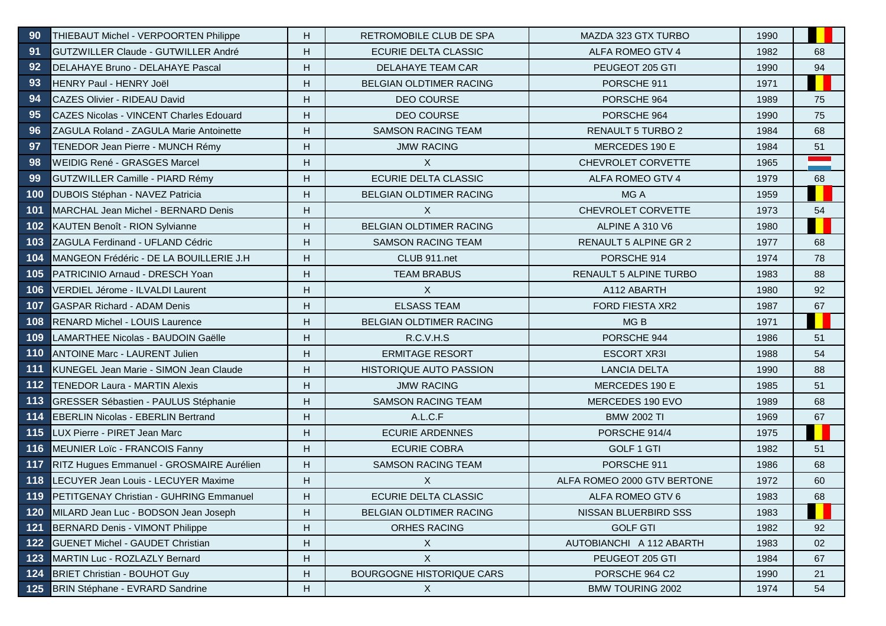| 90    | THIEBAUT Michel - VERPOORTEN Philippe           | H. | <b>RETROMOBILE CLUB DE SPA</b>   | MAZDA 323 GTX TURBO         | 1990 |    |
|-------|-------------------------------------------------|----|----------------------------------|-----------------------------|------|----|
| 91    | GUTZWILLER Claude - GUTWILLER André             | H. | ECURIE DELTA CLASSIC             | ALFA ROMEO GTV 4            | 1982 | 68 |
| 92    | DELAHAYE Bruno - DELAHAYE Pascal                | H. | DELAHAYE TEAM CAR                | PEUGEOT 205 GTI             | 1990 | 94 |
| 93    | HENRY Paul - HENRY Joël                         | H. | BELGIAN OLDTIMER RACING          | PORSCHE 911                 | 1971 |    |
| 94    | <b>CAZES Olivier - RIDEAU David</b>             | H. | <b>DEO COURSE</b>                | PORSCHE 964                 | 1989 | 75 |
| 95    | <b>CAZES Nicolas - VINCENT Charles Edouard</b>  | H. | <b>DEO COURSE</b>                | PORSCHE 964                 | 1990 | 75 |
| 96    | ZAGULA Roland - ZAGULA Marie Antoinette         | H. | <b>SAMSON RACING TEAM</b>        | RENAULT 5 TURBO 2           | 1984 | 68 |
| 97    | TENEDOR Jean Pierre - MUNCH Rémy                | H. | <b>JMW RACING</b>                | MERCEDES 190 E              | 1984 | 51 |
| 98    | WEIDIG René - GRASGES Marcel                    | H. | $\mathsf{X}$                     | CHEVROLET CORVETTE          | 1965 |    |
| 99    | GUTZWILLER Camille - PIARD Rémy                 | H. | ECURIE DELTA CLASSIC             | ALFA ROMEO GTV 4            | 1979 | 68 |
| 100   | DUBOIS Stéphan - NAVEZ Patricia                 | H  | BELGIAN OLDTIMER RACING          | MG A                        | 1959 |    |
| 101   | MARCHAL Jean Michel - BERNARD Denis             | H  | X                                | CHEVROLET CORVETTE          | 1973 | 54 |
| 102   | KAUTEN Benoît - RION Sylvianne                  | H  | BELGIAN OLDTIMER RACING          | ALPINE A 310 V6             | 1980 |    |
| 103   | ZAGULA Ferdinand - UFLAND Cédric                | H. | <b>SAMSON RACING TEAM</b>        | RENAULT 5 ALPINE GR 2       | 1977 | 68 |
| 104   | MANGEON Frédéric - DE LA BOUILLERIE J.H.        | H. | CLUB 911.net                     | PORSCHE 914                 | 1974 | 78 |
| 105   | PATRICINIO Arnaud - DRESCH Yoan                 | H. | <b>TEAM BRABUS</b>               | RENAULT 5 ALPINE TURBO      | 1983 | 88 |
| 106   | VERDIEL Jérome - ILVALDI Laurent                | H  | $\sf X$                          | A112 ABARTH                 | 1980 | 92 |
| 107   | <b>GASPAR Richard - ADAM Denis</b>              | H  | <b>ELSASS TEAM</b>               | <b>FORD FIESTA XR2</b>      | 1987 | 67 |
| 108   | <b>RENARD Michel - LOUIS Laurence</b>           | H. | BELGIAN OLDTIMER RACING          | MG <sub>B</sub>             | 1971 |    |
| 109   | LAMARTHEE Nicolas - BAUDOIN Gaëlle              | H. | R.C.V.H.S                        | PORSCHE 944                 | 1986 | 51 |
| 110   | <b>ANTOINE Marc - LAURENT Julien</b>            | H. | <b>ERMITAGE RESORT</b>           | <b>ESCORT XR3I</b>          | 1988 | 54 |
| 111   | <b>I</b> KUNEGEL Jean Marie - SIMON Jean Claude | H. | <b>HISTORIQUE AUTO PASSION</b>   | <b>LANCIA DELTA</b>         | 1990 | 88 |
| $112$ | TENEDOR Laura - MARTIN Alexis                   | H. | <b>JMW RACING</b>                | MERCEDES 190 E              | 1985 | 51 |
| 113   | <b>GRESSER Sébastien - PAULUS Stéphanie</b>     | H. | <b>SAMSON RACING TEAM</b>        | MERCEDES 190 EVO            | 1989 | 68 |
| 114   | <b>EBERLIN Nicolas - EBERLIN Bertrand</b>       | H. | A.L.C.F                          | <b>BMW 2002 TI</b>          | 1969 | 67 |
| 115   | LUX Pierre - PIRET Jean Marc                    | H. | <b>ECURIE ARDENNES</b>           | PORSCHE 914/4               | 1975 |    |
| 116   | MEUNIER Loïc - FRANCOIS Fanny                   | H. | <b>ECURIE COBRA</b>              | <b>GOLF 1 GTI</b>           | 1982 | 51 |
| 117   | RITZ Hugues Emmanuel - GROSMAIRE Aurélien       | H. | SAMSON RACING TEAM               | PORSCHE 911                 | 1986 | 68 |
| 118   | LECUYER Jean Louis - LECUYER Maxime             | H. | $\mathsf{X}$                     | ALFA ROMEO 2000 GTV BERTONE | 1972 | 60 |
| 119   | PETITGENAY Christian - GUHRING Emmanuel         | H  | ECURIE DELTA CLASSIC             | ALFA ROMEO GTV 6            | 1983 | 68 |
| 120   | MILARD Jean Luc - BODSON Jean Joseph            | H. | <b>BELGIAN OLDTIMER RACING</b>   | NISSAN BLUERBIRD SSS        | 1983 |    |
| 121   | BERNARD Denis - VIMONT Philippe                 | H. | ORHES RACING                     | <b>GOLF GTI</b>             | 1982 | 92 |
| $122$ | <b>GUENET Michel - GAUDET Christian</b>         | H. | $\mathsf{X}$                     | AUTOBIANCHI A 112 ABARTH    | 1983 | 02 |
| 123   | MARTIN Luc - ROZLAZLY Bernard                   | H. | X                                | PEUGEOT 205 GTI             | 1984 | 67 |
| 124   | <b>BRIET Christian - BOUHOT Guy</b>             | H  | <b>BOURGOGNE HISTORIQUE CARS</b> | PORSCHE 964 C2              | 1990 | 21 |
| 125   | BRIN Stéphane - EVRARD Sandrine                 | H  | $\mathsf{X}$                     | <b>BMW TOURING 2002</b>     | 1974 | 54 |